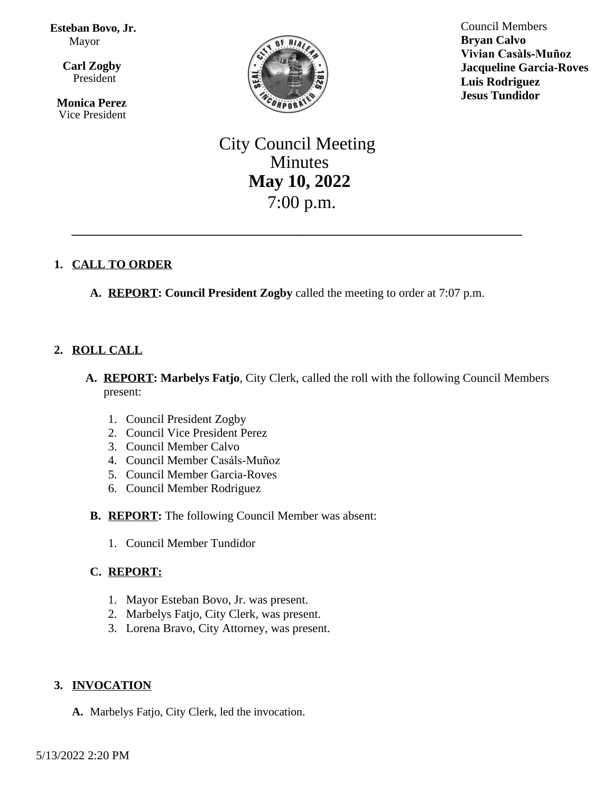## **Esteban Bovo, Jr.** Mayor

 $\overline{a}$ **Carl Zogby** President

> **Monica Perez** Vice President



Council Members **Bryan Calvo Vivian Casàls-Muñoz Jacqueline Garcia-Roves Luis Rodriguez Jesus Tundidor**

# City Council Meeting Minutes **May 10, 2022** 7:00 p.m.

\_\_\_\_\_\_\_\_\_\_\_\_\_\_\_\_\_\_\_\_\_\_\_\_\_\_\_\_\_\_\_\_\_\_\_\_\_\_\_\_\_\_\_\_\_\_\_\_\_\_

# **1. CALL TO ORDER**

**A. REPORT: Council President Zogby** called the meeting to order at 7:07 p.m.

# **2. ROLL CALL**

- **A. REPORT: Marbelys Fatjo**, City Clerk, called the roll with the following Council Members present:
	- 1. Council President Zogby
	- 2. Council Vice President Perez
	- 3. Council Member Calvo
	- 4. Council Member Casáls-Muñoz
	- 5. Council Member Garcia-Roves
	- 6. Council Member Rodriguez
- **B. REPORT:** The following Council Member was absent:
	- 1. Council Member Tundidor

## **C. REPORT:**

- 1. Mayor Esteban Bovo, Jr. was present.
- 2. Marbelys Fatjo, City Clerk, was present.
- 3. Lorena Bravo, City Attorney, was present.

## **3. INVOCATION**

**A.** Marbelys Fatjo, City Clerk, led the invocation.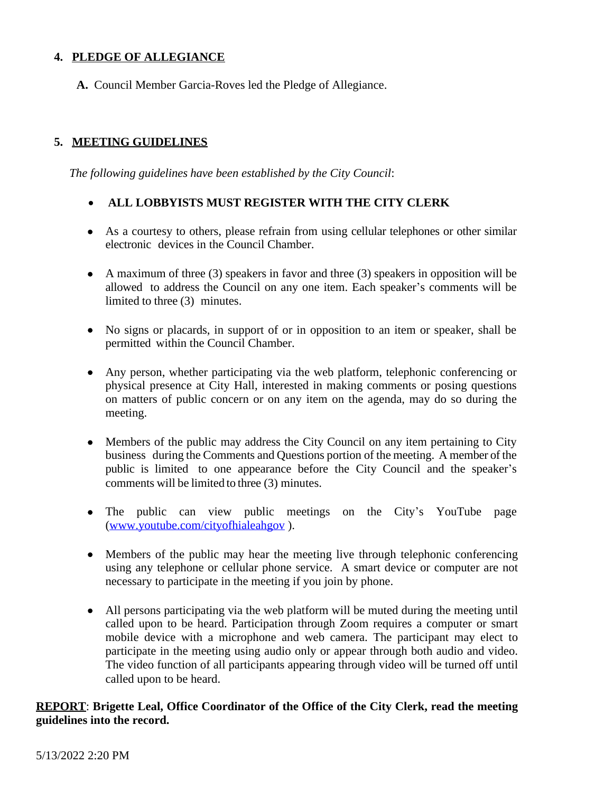## **4. PLEDGE OF ALLEGIANCE**

**A.** Council Member Garcia-Roves led the Pledge of Allegiance.

## **5. MEETING GUIDELINES**

*The following guidelines have been established by the City Council*:

## **ALL LOBBYISTS MUST REGISTER WITH THE CITY CLERK**

- As a courtesy to others, please refrain from using cellular telephones or other similar electronic devices in the Council Chamber.
- A maximum of three  $(3)$  speakers in favor and three  $(3)$  speakers in opposition will be allowed to address the Council on any one item. Each speaker's comments will be limited to three (3) minutes.
- No signs or placards, in support of or in opposition to an item or speaker, shall be permitted within the Council Chamber.
- Any person, whether participating via the web platform, telephonic conferencing or physical presence at City Hall, interested in making comments or posing questions on matters of public concern or on any item on the agenda, may do so during the meeting.
- Members of the public may address the City Council on any item pertaining to City business during the Comments and Questions portion of the meeting. A member of the public is limited to one appearance before the City Council and the speaker's comments will be limited to three (3) minutes.
- The public can view public meetings on the City's YouTube page [\(www.youtube.com/cityofhialeahgov](http://www.youtube.com/cityofhialeahgov) ).
- Members of the public may hear the meeting live through telephonic conferencing using any telephone or cellular phone service. A smart device or computer are not necessary to participate in the meeting if you join by phone.
- All persons participating via the web platform will be muted during the meeting until called upon to be heard. Participation through Zoom requires a computer or smart mobile device with a microphone and web camera. The participant may elect to participate in the meeting using audio only or appear through both audio and video. The video function of all participants appearing through video will be turned off until called upon to be heard.

## **REPORT**: **Brigette Leal, Office Coordinator of the Office of the City Clerk, read the meeting guidelines into the record.**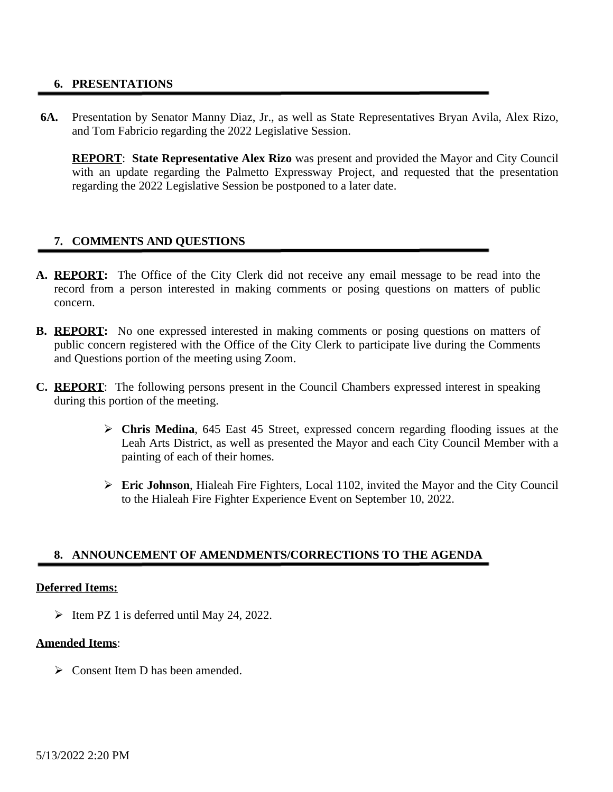## **6. PRESENTATIONS**

**6A.** Presentation by Senator Manny Diaz, Jr., as well as State Representatives Bryan Avila, Alex Rizo, and Tom Fabricio regarding the 2022 Legislative Session.

**REPORT**: **State Representative Alex Rizo** was present and provided the Mayor and City Council with an update regarding the Palmetto Expressway Project, and requested that the presentation regarding the 2022 Legislative Session be postponed to a later date.

## **7. COMMENTS AND QUESTIONS**

- **A. REPORT:** The Office of the City Clerk did not receive any email message to be read into the record from a person interested in making comments or posing questions on matters of public concern.
- **B. REPORT:** No one expressed interested in making comments or posing questions on matters of public concern registered with the Office of the City Clerk to participate live during the Comments and Questions portion of the meeting using Zoom.
- **C. REPORT**: The following persons present in the Council Chambers expressed interest in speaking during this portion of the meeting.
	- **Chris Medina**, 645 East 45 Street, expressed concern regarding flooding issues at the Leah Arts District, as well as presented the Mayor and each City Council Member with a painting of each of their homes.
	- **Eric Johnson**, Hialeah Fire Fighters, Local 1102, invited the Mayor and the City Council to the Hialeah Fire Fighter Experience Event on September 10, 2022.

#### **8. ANNOUNCEMENT OF AMENDMENTS/CORRECTIONS TO THE AGENDA**

#### **Deferred Items:**

 $\triangleright$  Item PZ 1 is deferred until May 24, 2022.

#### **Amended Items**:

 $\triangleright$  Consent Item D has been amended.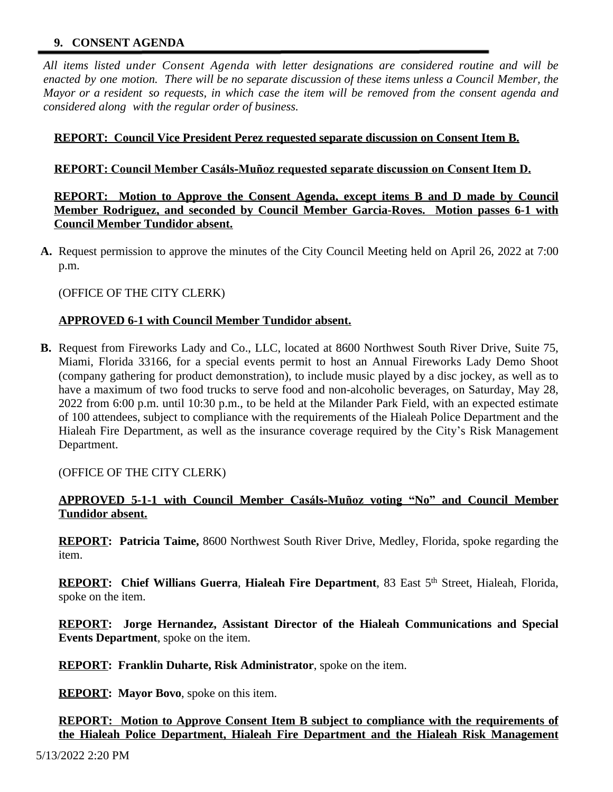## **9. CONSENT AGENDA**

*All items listed under Consent Agenda with letter designations are considered routine and will be* enacted by one motion. There will be no separate discussion of these items unless a Council Member, the Mayor or a resident so requests, in which case the item will be removed from the consent agenda and *considered along with the regular order of business.*

## **REPORT: Council Vice President Perez requested separate discussion on Consent Item B.**

#### **REPORT: Council Member Casáls-Muñoz requested separate discussion on Consent Item D.**

**REPORT: Motion to Approve the Consent Agenda, except items B and D made by Council Member Rodriguez, and seconded by Council Member Garcia-Roves. Motion passes 6-1 with Council Member Tundidor absent.**

**A.** Request permission to approve the minutes of the City Council Meeting held on April 26, 2022 at 7:00 p.m.

#### (OFFICE OF THE CITY CLERK)

#### **APPROVED 6-1 with Council Member Tundidor absent.**

**B.** Request from Fireworks Lady and Co., LLC, located at 8600 Northwest South River Drive, Suite 75, Miami, Florida 33166, for a special events permit to host an Annual Fireworks Lady Demo Shoot (company gathering for product demonstration), to include music played by a disc jockey, as well as to have a maximum of two food trucks to serve food and non-alcoholic beverages, on Saturday, May 28, 2022 from 6:00 p.m. until 10:30 p.m., to be held at the Milander Park Field, with an expected estimate of 100 attendees, subject to compliance with the requirements of the Hialeah Police Department and the Hialeah Fire Department, as well as the insurance coverage required by the City's Risk Management Department.

#### (OFFICE OF THE CITY CLERK)

## **APPROVED 5-1-1 with Council Member Casáls-Muñoz voting "No" and Council Member Tundidor absent.**

**REPORT: Patricia Taime,** 8600 Northwest South River Drive, Medley, Florida, spoke regarding the item.

**REPORT: Chief Willians Guerra**, **Hialeah Fire Department**, 83 East 5 th Street, Hialeah, Florida, spoke on the item.

**REPORT: Jorge Hernandez, Assistant Director of the Hialeah Communications and Special Events Department**, spoke on the item.

**REPORT: Franklin Duharte, Risk Administrator**, spoke on the item.

**REPORT: Mayor Bovo**, spoke on this item.

**REPORT: Motion to Approve Consent Item B subject to compliance with the requirements of the Hialeah Police Department, Hialeah Fire Department and the Hialeah Risk Management**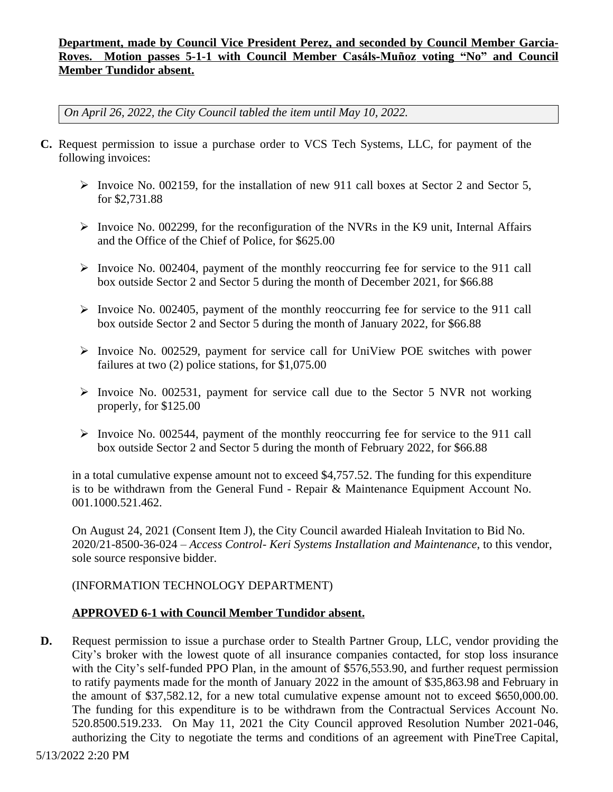## **Department, made by Council Vice President Perez, and seconded by Council Member Garcia-Roves. Motion passes 5-1-1 with Council Member Casáls-Muñoz voting "No" and Council Member Tundidor absent.**

*On April 26, 2022, the City Council tabled the item until May 10, 2022.*

- **C.** Request permission to issue a purchase order to VCS Tech Systems, LLC, for payment of the following invoices:
	- $\triangleright$  Invoice No. 002159, for the installation of new 911 call boxes at Sector 2 and Sector 5, for \$2,731.88
	- $\triangleright$  Invoice No. 002299, for the reconfiguration of the NVRs in the K9 unit, Internal Affairs and the Office of the Chief of Police, for \$625.00
	- $\triangleright$  Invoice No. 002404, payment of the monthly reoccurring fee for service to the 911 call box outside Sector 2 and Sector 5 during the month of December 2021, for \$66.88
	- $\triangleright$  Invoice No. 002405, payment of the monthly reoccurring fee for service to the 911 call box outside Sector 2 and Sector 5 during the month of January 2022, for \$66.88
	- $\triangleright$  Invoice No. 002529, payment for service call for UniView POE switches with power failures at two (2) police stations, for \$1,075.00
	- $\triangleright$  Invoice No. 002531, payment for service call due to the Sector 5 NVR not working properly, for \$125.00
	- $\triangleright$  Invoice No. 002544, payment of the monthly reoccurring fee for service to the 911 call box outside Sector 2 and Sector 5 during the month of February 2022, for \$66.88

in a total cumulative expense amount not to exceed \$4,757.52. The funding for this expenditure is to be withdrawn from the General Fund - Repair & Maintenance Equipment Account No. 001.1000.521.462.

On August 24, 2021 (Consent Item J), the City Council awarded Hialeah Invitation to Bid No. 2020/21-8500-36-024 – *Access Control- Keri Systems Installation and Maintenance*, to this vendor, sole source responsive bidder.

# (INFORMATION TECHNOLOGY DEPARTMENT)

## **APPROVED 6-1 with Council Member Tundidor absent.**

**D.** Request permission to issue a purchase order to Stealth Partner Group, LLC, vendor providing the City's broker with the lowest quote of all insurance companies contacted, for stop loss insurance with the City's self-funded PPO Plan, in the amount of \$576,553.90, and further request permission to ratify payments made for the month of January 2022 in the amount of \$35,863.98 and February in the amount of \$37,582.12, for a new total cumulative expense amount not to exceed \$650,000.00. The funding for this expenditure is to be withdrawn from the Contractual Services Account No. 520.8500.519.233. On May 11, 2021 the City Council approved Resolution Number 2021-046, authorizing the City to negotiate the terms and conditions of an agreement with PineTree Capital,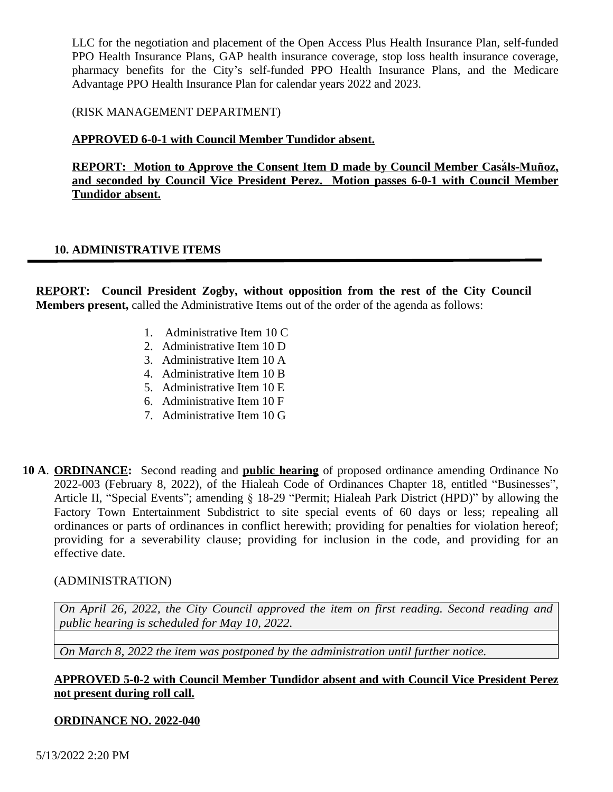LLC for the negotiation and placement of the Open Access Plus Health Insurance Plan, self-funded PPO Health Insurance Plans, GAP health insurance coverage, stop loss health insurance coverage, pharmacy benefits for the City's self-funded PPO Health Insurance Plans, and the Medicare Advantage PPO Health Insurance Plan for calendar years 2022 and 2023.

(RISK MANAGEMENT DEPARTMENT)

#### **APPROVED 6-0-1 with Council Member Tundidor absent.**

**REPORT: Motion to Approve the Consent Item D made by Council Member Casٔáls-Muñoz, and seconded by Council Vice President Perez. Motion passes 6-0-1 with Council Member Tundidor absent.**

## **10. ADMINISTRATIVE ITEMS**

**REPORT: Council President Zogby, without opposition from the rest of the City Council Members present,** called the Administrative Items out of the order of the agenda as follows:

- 1. Administrative Item 10 C
- 2. Administrative Item 10 D
- 3. Administrative Item 10 A
- 4. Administrative Item 10 B
- 5. Administrative Item 10 E
- 6. Administrative Item 10 F
- 7. Administrative Item 10 G
- **10 A**. **ORDINANCE:** Second reading and **public hearing** of proposed ordinance amending Ordinance No 2022-003 (February 8, 2022), of the Hialeah Code of Ordinances Chapter 18, entitled "Businesses", Article II, "Special Events"; amending § 18-29 "Permit; Hialeah Park District (HPD)" by allowing the Factory Town Entertainment Subdistrict to site special events of 60 days or less; repealing all ordinances or parts of ordinances in conflict herewith; providing for penalties for violation hereof; providing for a severability clause; providing for inclusion in the code, and providing for an effective date.

#### (ADMINISTRATION)

*On April 26, 2022, the City Council approved the item on first reading. Second reading and public hearing is scheduled for May 10, 2022.*

*On March 8, 2022 the item was postponed by the administration until further notice.*

## **APPROVED 5-0-2 with Council Member Tundidor absent and with Council Vice President Perez not present during roll call.**

#### **ORDINANCE NO. 2022-040**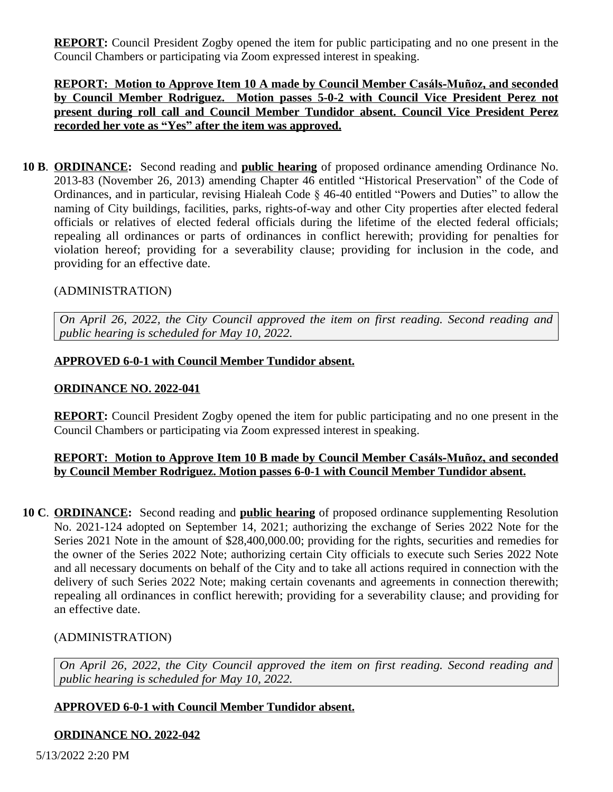**REPORT:** Council President Zogby opened the item for public participating and no one present in the Council Chambers or participating via Zoom expressed interest in speaking.

**REPORT: Motion to Approve Item 10 A made by Council Member Casáls-Muñoz, and seconded by Council Member Rodriguez. Motion passes 5-0-2 with Council Vice President Perez not present during roll call and Council Member Tundidor absent. Council Vice President Perez recorded her vote as "Yes" after the item was approved.**

**10 B**. **ORDINANCE:** Second reading and **public hearing** of proposed ordinance amending Ordinance No. 2013-83 (November 26, 2013) amending Chapter 46 entitled "Historical Preservation" of the Code of Ordinances, and in particular, revising Hialeah Code § 46-40 entitled "Powers and Duties" to allow the naming of City buildings, facilities, parks, rights-of-way and other City properties after elected federal officials or relatives of elected federal officials during the lifetime of the elected federal officials; repealing all ordinances or parts of ordinances in conflict herewith; providing for penalties for violation hereof; providing for a severability clause; providing for inclusion in the code, and providing for an effective date.

## (ADMINISTRATION)

*On April 26, 2022, the City Council approved the item on first reading. Second reading and public hearing is scheduled for May 10, 2022.*

## **APPROVED 6-0-1 with Council Member Tundidor absent.**

#### **ORDINANCE NO. 2022-041**

**REPORT:** Council President Zogby opened the item for public participating and no one present in the Council Chambers or participating via Zoom expressed interest in speaking.

## **REPORT: Motion to Approve Item 10 B made by Council Member Casáls-Muñoz, and seconded by Council Member Rodriguez. Motion passes 6-0-1 with Council Member Tundidor absent.**

**10 C**. **ORDINANCE:** Second reading and **public hearing** of proposed ordinance supplementing Resolution No. 2021-124 adopted on September 14, 2021; authorizing the exchange of Series 2022 Note for the Series 2021 Note in the amount of \$28,400,000.00; providing for the rights, securities and remedies for the owner of the Series 2022 Note; authorizing certain City officials to execute such Series 2022 Note and all necessary documents on behalf of the City and to take all actions required in connection with the delivery of such Series 2022 Note; making certain covenants and agreements in connection therewith; repealing all ordinances in conflict herewith; providing for a severability clause; and providing for an effective date.

#### (ADMINISTRATION)

*On April 26, 2022, the City Council approved the item on first reading. Second reading and public hearing is scheduled for May 10, 2022.*

## **APPROVED 6-0-1 with Council Member Tundidor absent.**

#### **ORDINANCE NO. 2022-042**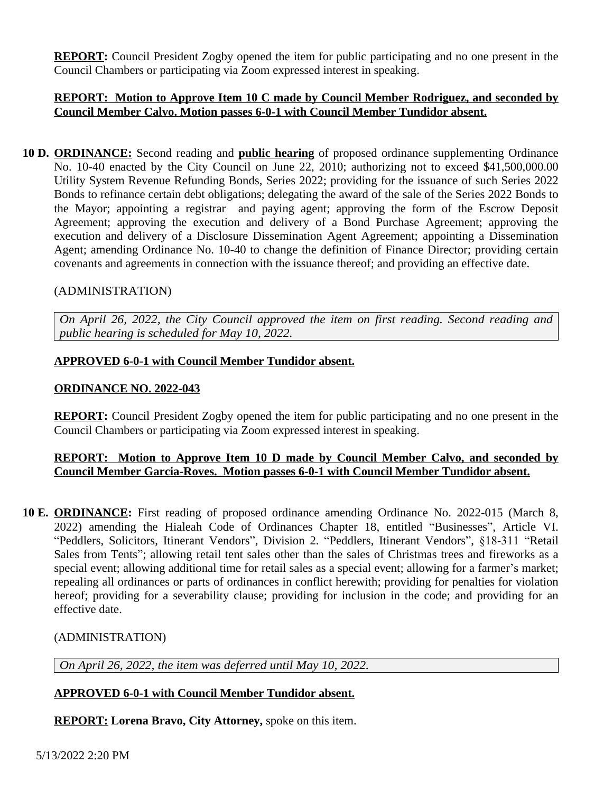**REPORT:** Council President Zogby opened the item for public participating and no one present in the Council Chambers or participating via Zoom expressed interest in speaking.

#### **REPORT: Motion to Approve Item 10 C made by Council Member Rodriguez, and seconded by Council Member Calvo. Motion passes 6-0-1 with Council Member Tundidor absent.**

**10 D. ORDINANCE:** Second reading and **public hearing** of proposed ordinance supplementing Ordinance No. 10-40 enacted by the City Council on June 22, 2010; authorizing not to exceed \$41,500,000.00 Utility System Revenue Refunding Bonds, Series 2022; providing for the issuance of such Series 2022 Bonds to refinance certain debt obligations; delegating the award of the sale of the Series 2022 Bonds to the Mayor; appointing a registrar and paying agent; approving the form of the Escrow Deposit Agreement; approving the execution and delivery of a Bond Purchase Agreement; approving the execution and delivery of a Disclosure Dissemination Agent Agreement; appointing a Dissemination Agent; amending Ordinance No. 10-40 to change the definition of Finance Director; providing certain covenants and agreements in connection with the issuance thereof; and providing an effective date.

## (ADMINISTRATION)

*On April 26, 2022, the City Council approved the item on first reading. Second reading and public hearing is scheduled for May 10, 2022.*

#### **APPROVED 6-0-1 with Council Member Tundidor absent.**

#### **ORDINANCE NO. 2022-043**

**REPORT:** Council President Zogby opened the item for public participating and no one present in the Council Chambers or participating via Zoom expressed interest in speaking.

## **REPORT: Motion to Approve Item 10 D made by Council Member Calvo, and seconded by Council Member Garcia-Roves. Motion passes 6-0-1 with Council Member Tundidor absent.**

**10 E. ORDINANCE:** First reading of proposed ordinance amending Ordinance No. 2022-015 (March 8, 2022) amending the Hialeah Code of Ordinances Chapter 18, entitled "Businesses", Article VI. "Peddlers, Solicitors, Itinerant Vendors", Division 2. "Peddlers, Itinerant Vendors", §18-311 "Retail Sales from Tents"; allowing retail tent sales other than the sales of Christmas trees and fireworks as a special event; allowing additional time for retail sales as a special event; allowing for a farmer's market; repealing all ordinances or parts of ordinances in conflict herewith; providing for penalties for violation hereof; providing for a severability clause; providing for inclusion in the code; and providing for an effective date.

#### (ADMINISTRATION)

*On April 26, 2022, the item was deferred until May 10, 2022.*

#### **APPROVED 6-0-1 with Council Member Tundidor absent.**

**REPORT: Lorena Bravo, City Attorney,** spoke on this item.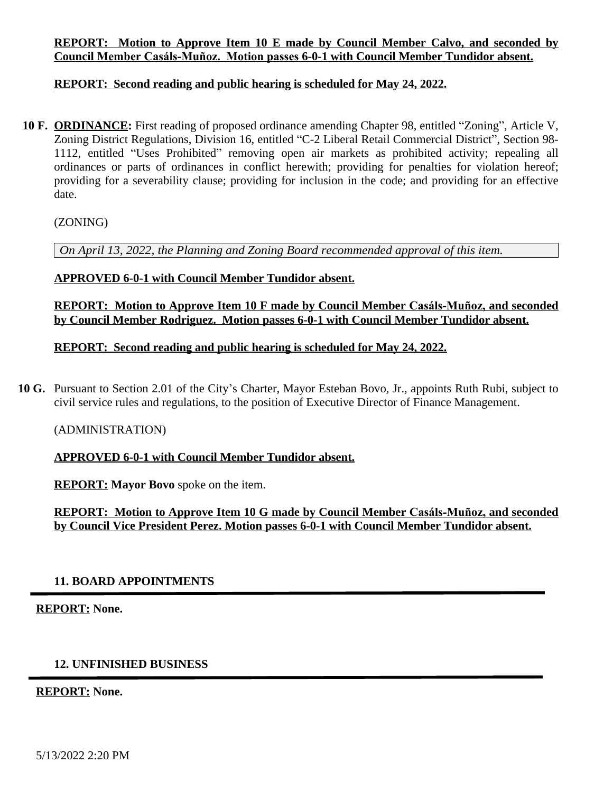## **REPORT: Motion to Approve Item 10 E made by Council Member Calvo, and seconded by Council Member Casáls-Muñoz. Motion passes 6-0-1 with Council Member Tundidor absent.**

## **REPORT: Second reading and public hearing is scheduled for May 24, 2022.**

**10 F. ORDINANCE:** First reading of proposed ordinance amending Chapter 98, entitled "Zoning", Article V, Zoning District Regulations, Division 16, entitled "C-2 Liberal Retail Commercial District", Section 98- 1112, entitled "Uses Prohibited" removing open air markets as prohibited activity; repealing all ordinances or parts of ordinances in conflict herewith; providing for penalties for violation hereof; providing for a severability clause; providing for inclusion in the code; and providing for an effective date.

(ZONING)

*On April 13, 2022, the Planning and Zoning Board recommended approval of this item.*

#### **APPROVED 6-0-1 with Council Member Tundidor absent.**

**REPORT: Motion to Approve Item 10 F made by Council Member Casáls-Muñoz, and seconded by Council Member Rodriguez. Motion passes 6-0-1 with Council Member Tundidor absent.**

**REPORT: Second reading and public hearing is scheduled for May 24, 2022.**

**10 G.** Pursuant to Section 2.01 of the City's Charter, Mayor Esteban Bovo, Jr., appoints Ruth Rubi, subject to civil service rules and regulations, to the position of Executive Director of Finance Management.

#### (ADMINISTRATION)

**APPROVED 6-0-1 with Council Member Tundidor absent.**

**REPORT: Mayor Bovo** spoke on the item.

**REPORT: Motion to Approve Item 10 G made by Council Member Casáls-Muñoz, and seconded by Council Vice President Perez. Motion passes 6-0-1 with Council Member Tundidor absent.**

#### **11. BOARD APPOINTMENTS**

**REPORT: None.**

# **12. UNFINISHED BUSINESS**

**REPORT: None.**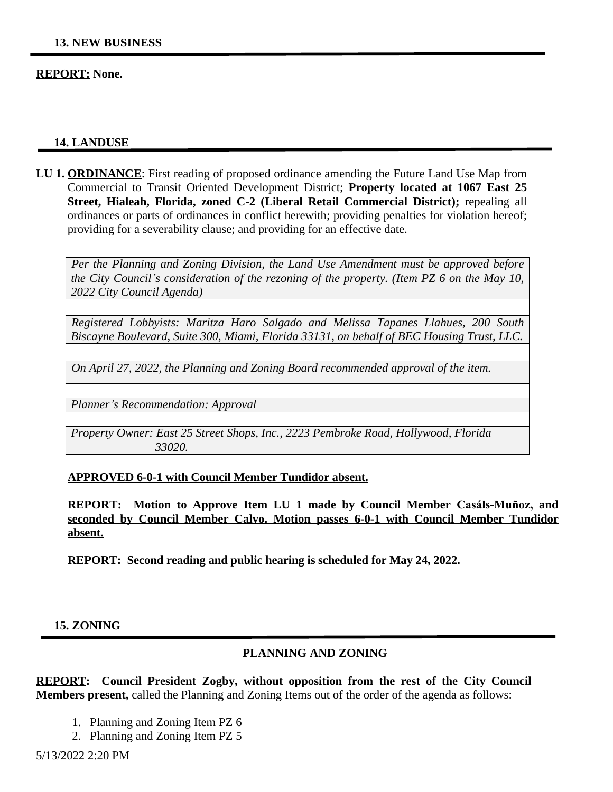#### **REPORT: None.**

#### **14. LANDUSE**

**LU 1. ORDINANCE**: First reading of proposed ordinance amending the Future Land Use Map from Commercial to Transit Oriented Development District; **Property located at 1067 East 25 Street, Hialeah, Florida, zoned C-2 (Liberal Retail Commercial District);** repealing all ordinances or parts of ordinances in conflict herewith; providing penalties for violation hereof; providing for a severability clause; and providing for an effective date.

*Per the Planning and Zoning Division, the Land Use Amendment must be approved before the City Council's consideration of the rezoning of the property. (Item PZ 6 on the May 10, 2022 City Council Agenda)* 

*Registered Lobbyists: Maritza Haro Salgado and Melissa Tapanes Llahues, 200 South Biscayne Boulevard, Suite 300, Miami, Florida 33131, on behalf of BEC Housing Trust, LLC.*

*On April 27, 2022, the Planning and Zoning Board recommended approval of the item.*

*Planner's Recommendation: Approval*

*Property Owner: East 25 Street Shops, Inc., 2223 Pembroke Road, Hollywood, Florida 33020.*

#### **APPROVED 6-0-1 with Council Member Tundidor absent.**

**REPORT: Motion to Approve Item LU 1 made by Council Member Casáls-Muñoz, and seconded by Council Member Calvo. Motion passes 6-0-1 with Council Member Tundidor absent.**

**REPORT: Second reading and public hearing is scheduled for May 24, 2022.**

**15. ZONING**

## **PLANNING AND ZONING**

**REPORT: Council President Zogby, without opposition from the rest of the City Council Members present,** called the Planning and Zoning Items out of the order of the agenda as follows:

- 1. Planning and Zoning Item PZ 6
- 2. Planning and Zoning Item PZ 5

5/13/2022 2:20 PM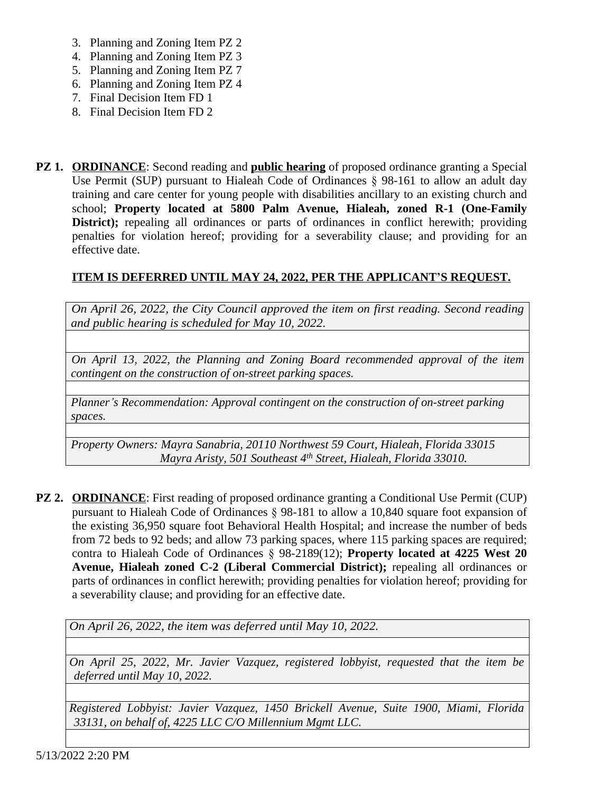- 3. Planning and Zoning Item PZ 2
- 4. Planning and Zoning Item PZ 3
- 5. Planning and Zoning Item PZ 7
- 6. Planning and Zoning Item PZ 4
- 7. Final Decision Item FD 1
- 8. Final Decision Item FD 2
- **PZ 1. ORDINANCE**: Second reading and **public hearing** of proposed ordinance granting a Special Use Permit (SUP) pursuant to Hialeah Code of Ordinances § 98-161 to allow an adult day training and care center for young people with disabilities ancillary to an existing church and school; **Property located at 5800 Palm Avenue, Hialeah, zoned R-1 (One-Family District);** repealing all ordinances or parts of ordinances in conflict herewith; providing penalties for violation hereof; providing for a severability clause; and providing for an effective date.

# **ITEM IS DEFERRED UNTIL MAY 24, 2022, PER THE APPLICANT'S REQUEST.**

*On April 26, 2022, the City Council approved the item on first reading. Second reading and public hearing is scheduled for May 10, 2022.*

*On April 13, 2022, the Planning and Zoning Board recommended approval of the item contingent on the construction of on-street parking spaces.*

*Planner's Recommendation: Approval contingent on the construction of on-street parking spaces.*

*Property Owners: Mayra Sanabria, 20110 Northwest 59 Court, Hialeah, Florida 33015 Mayra Aristy, 501 Southeast 4th Street, Hialeah, Florida 33010.*

**PZ 2. ORDINANCE:** First reading of proposed ordinance granting a Conditional Use Permit (CUP) pursuant to Hialeah Code of Ordinances § 98-181 to allow a 10,840 square foot expansion of the existing 36,950 square foot Behavioral Health Hospital; and increase the number of beds from 72 beds to 92 beds; and allow 73 parking spaces, where 115 parking spaces are required; contra to Hialeah Code of Ordinances § 98-2189(12); **Property located at 4225 West 20 Avenue, Hialeah zoned C-2 (Liberal Commercial District);** repealing all ordinances or parts of ordinances in conflict herewith; providing penalties for violation hereof; providing for a severability clause; and providing for an effective date.

*On April 26, 2022, the item was deferred until May 10, 2022.*

*On April 25, 2022, Mr. Javier Vazquez, registered lobbyist, requested that the item be deferred until May 10, 2022.*

*Registered Lobbyist: Javier Vazquez, 1450 Brickell Avenue, Suite 1900, Miami, Florida 33131, on behalf of, 4225 LLC C/O Millennium Mgmt LLC.*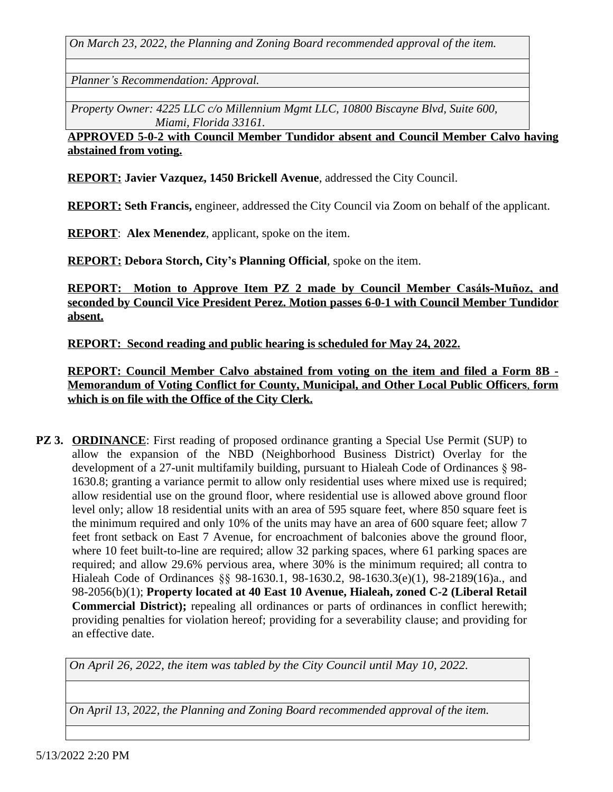*On March 23, 2022, the Planning and Zoning Board recommended approval of the item.*

*Planner's Recommendation: Approval.*

*Property Owner: 4225 LLC c/o Millennium Mgmt LLC, 10800 Biscayne Blvd, Suite 600, Miami, Florida 33161.*

**APPROVED 5-0-2 with Council Member Tundidor absent and Council Member Calvo having abstained from voting.**

**REPORT: Javier Vazquez, 1450 Brickell Avenue**, addressed the City Council.

**REPORT: Seth Francis,** engineer, addressed the City Council via Zoom on behalf of the applicant.

**REPORT**: **Alex Menendez**, applicant, spoke on the item.

**REPORT: Debora Storch, City's Planning Official**, spoke on the item.

**REPORT: Motion to Approve Item PZ 2 made by Council Member Casáls-Muñoz, and seconded by Council Vice President Perez. Motion passes 6-0-1 with Council Member Tundidor absent.**

**REPORT: Second reading and public hearing is scheduled for May 24, 2022.**

**REPORT: Council Member Calvo abstained from voting on the item and filed a Form 8B - Memorandum of Voting Conflict for County, Municipal, and Other Local Public Officers**, **form which is on file with the Office of the City Clerk.**

**PZ 3. ORDINANCE:** First reading of proposed ordinance granting a Special Use Permit (SUP) to allow the expansion of the NBD (Neighborhood Business District) Overlay for the development of a 27-unit multifamily building, pursuant to Hialeah Code of Ordinances § 98- 1630.8; granting a variance permit to allow only residential uses where mixed use is required; allow residential use on the ground floor, where residential use is allowed above ground floor level only; allow 18 residential units with an area of 595 square feet, where 850 square feet is the minimum required and only 10% of the units may have an area of 600 square feet; allow 7 feet front setback on East 7 Avenue, for encroachment of balconies above the ground floor, where 10 feet built-to-line are required; allow 32 parking spaces, where 61 parking spaces are required; and allow 29.6% pervious area, where 30% is the minimum required; all contra to Hialeah Code of Ordinances §§ 98-1630.1, 98-1630.2, 98-1630.3(e)(1), 98-2189(16)a., and 98-2056(b)(1); **Property located at 40 East 10 Avenue, Hialeah, zoned C-2 (Liberal Retail Commercial District);** repealing all ordinances or parts of ordinances in conflict herewith; providing penalties for violation hereof; providing for a severability clause; and providing for an effective date.

*On April 26, 2022, the item was tabled by the City Council until May 10, 2022.*

*On April 13, 2022, the Planning and Zoning Board recommended approval of the item.*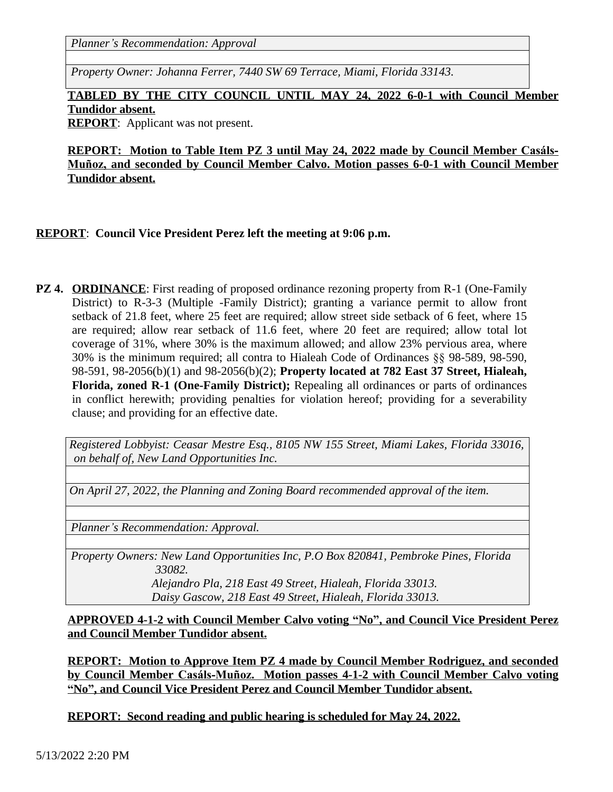*Planner's Recommendation: Approval*

*Property Owner: Johanna Ferrer, 7440 SW 69 Terrace, Miami, Florida 33143.*

**TABLED BY THE CITY COUNCIL UNTIL MAY 24, 2022 6-0-1 with Council Member Tundidor absent.**

**REPORT:** Applicant was not present.

**REPORT: Motion to Table Item PZ 3 until May 24, 2022 made by Council Member Casáls-Muñoz, and seconded by Council Member Calvo. Motion passes 6-0-1 with Council Member Tundidor absent.**

#### **REPORT**: **Council Vice President Perez left the meeting at 9:06 p.m.**

**PZ 4. ORDINANCE:** First reading of proposed ordinance rezoning property from R-1 (One-Family District) to R-3-3 (Multiple -Family District); granting a variance permit to allow front setback of 21.8 feet, where 25 feet are required; allow street side setback of 6 feet, where 15 are required; allow rear setback of 11.6 feet, where 20 feet are required; allow total lot coverage of 31%, where 30% is the maximum allowed; and allow 23% pervious area, where 30% is the minimum required; all contra to Hialeah Code of Ordinances §§ 98-589, 98-590, 98-591, 98-2056(b)(1) and 98-2056(b)(2); **Property located at 782 East 37 Street, Hialeah, Florida, zoned R-1 (One-Family District);** Repealing all ordinances or parts of ordinances in conflict herewith; providing penalties for violation hereof; providing for a severability clause; and providing for an effective date.

*Registered Lobbyist: Ceasar Mestre Esq., 8105 NW 155 Street, Miami Lakes, Florida 33016, on behalf of, New Land Opportunities Inc.*

*On April 27, 2022, the Planning and Zoning Board recommended approval of the item.*

*Planner's Recommendation: Approval.*

*Property Owners: New Land Opportunities Inc, P.O Box 820841, Pembroke Pines, Florida 33082.*

> *Alejandro Pla, 218 East 49 Street, Hialeah, Florida 33013. Daisy Gascow, 218 East 49 Street, Hialeah, Florida 33013.*

**APPROVED 4-1-2 with Council Member Calvo voting "No" , and Council Vice President Perez and Council Member Tundidor absent.**

**REPORT: Motion to Approve Item PZ 4 made by Council Member Rodriguez, and seconded by Council Member Casáls-Muñoz. Motion passes 4-1-2 with Council Member Calvo voting "No" , and Council Vice President Perez and Council Member Tundidor absent.**

**REPORT: Second reading and public hearing is scheduled for May 24, 2022.**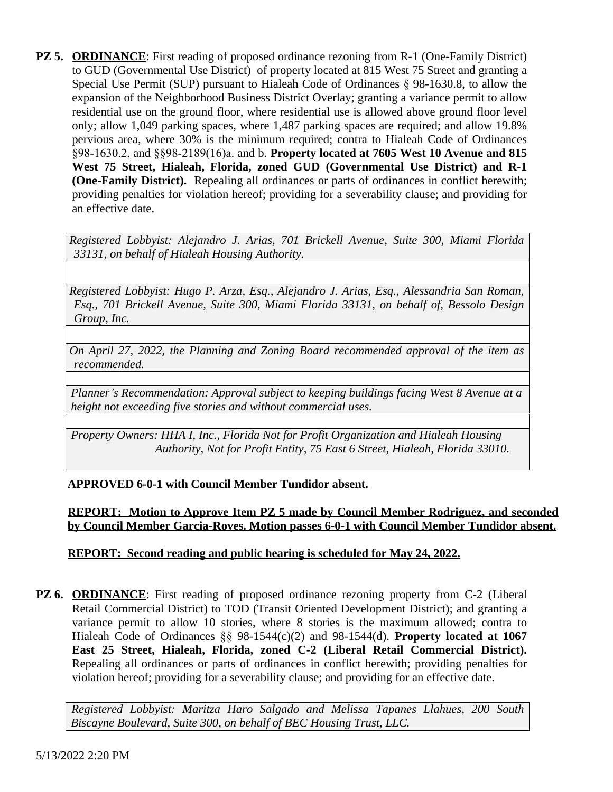**PZ 5. ORDINANCE:** First reading of proposed ordinance rezoning from R-1 (One-Family District) to GUD (Governmental Use District) of property located at 815 West 75 Street and granting a Special Use Permit (SUP) pursuant to Hialeah Code of Ordinances § 98-1630.8, to allow the expansion of the Neighborhood Business District Overlay; granting a variance permit to allow residential use on the ground floor, where residential use is allowed above ground floor level only; allow 1,049 parking spaces, where 1,487 parking spaces are required; and allow 19.8% pervious area, where 30% is the minimum required; contra to Hialeah Code of Ordinances §98-1630.2, and §§98-2189(16)a. and b. **Property located at 7605 West 10 Avenue and 815 West 75 Street, Hialeah, Florida, zoned GUD (Governmental Use District) and R-1 (One-Family District).** Repealing all ordinances or parts of ordinances in conflict herewith; providing penalties for violation hereof; providing for a severability clause; and providing for an effective date.

*Registered Lobbyist: Alejandro J. Arias, 701 Brickell Avenue, Suite 300, Miami Florida 33131, on behalf of Hialeah Housing Authority.*

*Registered Lobbyist: Hugo P. Arza, Esq., Alejandro J. Arias, Esq., Alessandria San Roman, Esq., 701 Brickell Avenue, Suite 300, Miami Florida 33131, on behalf of, Bessolo Design Group, Inc.*

*On April 27, 2022, the Planning and Zoning Board recommended approval of the item as recommended.*

*Planner's Recommendation: Approval subject to keeping buildings facing West 8 Avenue at a height not exceeding five stories and without commercial uses.*

*Property Owners: HHA I, Inc., Florida Not for Profit Organization and Hialeah Housing Authority, Not for Profit Entity, 75 East 6 Street, Hialeah, Florida 33010.*

## **APPROVED 6-0-1 with Council Member Tundidor absent.**

**REPORT: Motion to Approve Item PZ 5 made by Council Member Rodriguez, and seconded by Council Member Garcia-Roves. Motion passes 6-0-1 with Council Member Tundidor absent.**

## **REPORT: Second reading and public hearing is scheduled for May 24, 2022.**

**PZ 6. ORDINANCE**: First reading of proposed ordinance rezoning property from C-2 (Liberal Retail Commercial District) to TOD (Transit Oriented Development District); and granting a variance permit to allow 10 stories, where 8 stories is the maximum allowed; contra to Hialeah Code of Ordinances §§ 98-1544(c)(2) and 98-1544(d). **Property located at 1067 East 25 Street, Hialeah, Florida, zoned C-2 (Liberal Retail Commercial District).** Repealing all ordinances or parts of ordinances in conflict herewith; providing penalties for violation hereof; providing for a severability clause; and providing for an effective date.

*Registered Lobbyist: Maritza Haro Salgado and Melissa Tapanes Llahues, 200 South Biscayne Boulevard, Suite 300, on behalf of BEC Housing Trust, LLC.*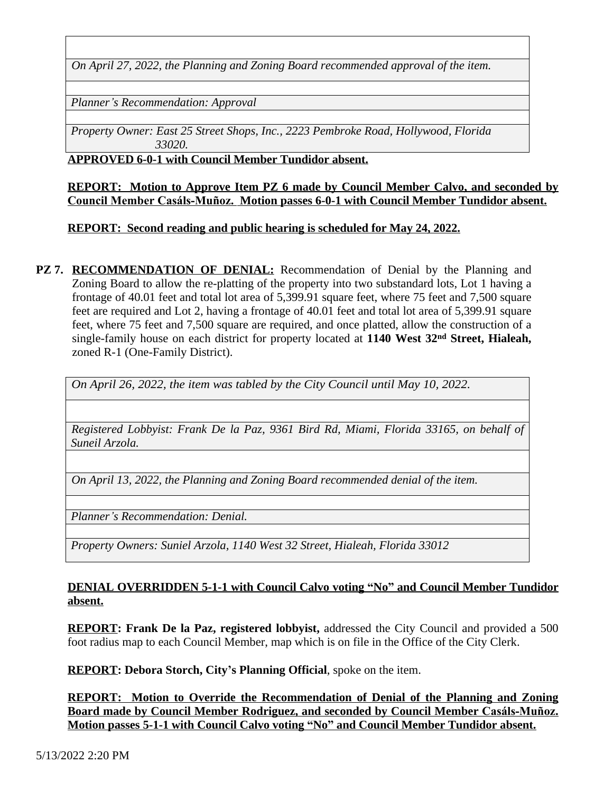*On April 27, 2022, the Planning and Zoning Board recommended approval of the item.*

*Planner's Recommendation: Approval*

*Property Owner: East 25 Street Shops, Inc., 2223 Pembroke Road, Hollywood, Florida 33020.*

**APPROVED 6-0-1 with Council Member Tundidor absent.**

**REPORT: Motion to Approve Item PZ 6 made by Council Member Calvo, and seconded by Council Member Casáls-Muñoz. Motion passes 6-0-1 with Council Member Tundidor absent.**

**REPORT: Second reading and public hearing is scheduled for May 24, 2022.**

**PZ 7. RECOMMENDATION OF DENIAL:** Recommendation of Denial by the Planning and Zoning Board to allow the re-platting of the property into two substandard lots, Lot 1 having a frontage of 40.01 feet and total lot area of 5,399.91 square feet, where 75 feet and 7,500 square feet are required and Lot 2, having a frontage of 40.01 feet and total lot area of 5,399.91 square feet, where 75 feet and 7,500 square are required, and once platted, allow the construction of a single-family house on each district for property located at **1140 West 32nd Street, Hialeah,** zoned R-1 (One-Family District).

*On April 26, 2022, the item was tabled by the City Council until May 10, 2022.*

*Registered Lobbyist: Frank De la Paz, 9361 Bird Rd, Miami, Florida 33165, on behalf of Suneil Arzola.*

*On April 13, 2022, the Planning and Zoning Board recommended denial of the item.*

*Planner's Recommendation: Denial.*

*Property Owners: Suniel Arzola, 1140 West 32 Street, Hialeah, Florida 33012*

## **DENIAL OVERRIDDEN 5-1-1 with Council Calvo voting "No" and Council Member Tundidor absent.**

**REPORT: Frank De la Paz, registered lobbyist,** addressed the City Council and provided a 500 foot radius map to each Council Member, map which is on file in the Office of the City Clerk.

**REPORT: Debora Storch, City's Planning Official**, spoke on the item.

**REPORT: Motion to Override the Recommendation of Denial of the Planning and Zoning Board made by Council Member Rodriguez, and seconded by Council Member Casáls-Muñoz. Motion passes 5-1-1 with Council Calvo voting "No" and Council Member Tundidor absent.**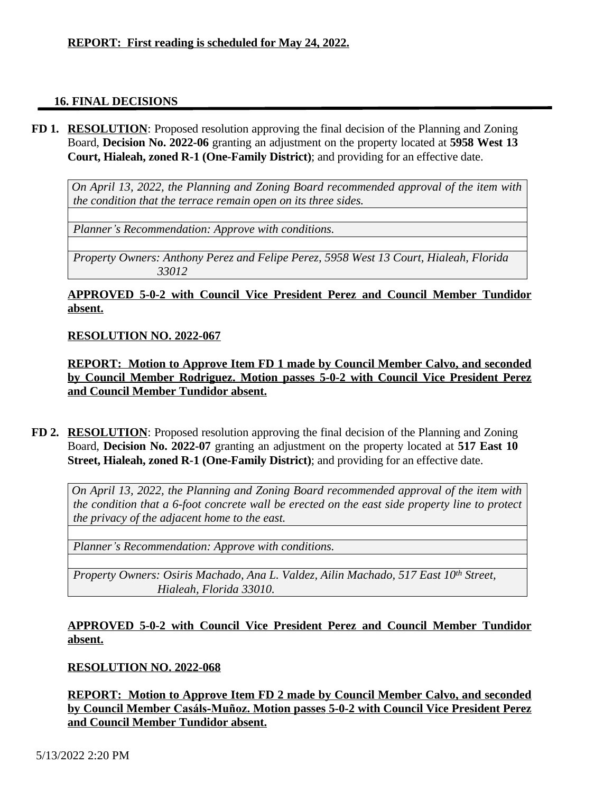#### **16. FINAL DECISIONS**

**FD 1. RESOLUTION**: Proposed resolution approving the final decision of the Planning and Zoning Board, **Decision No. 2022-06** granting an adjustment on the property located at **5958 West 13 Court, Hialeah, zoned R-1 (One-Family District)**; and providing for an effective date.

*On April 13, 2022, the Planning and Zoning Board recommended approval of the item with the condition that the terrace remain open on its three sides.*

*Planner's Recommendation: Approve with conditions.*

*Property Owners: Anthony Perez and Felipe Perez, 5958 West 13 Court, Hialeah, Florida 33012*

## **APPROVED 5-0-2 with Council Vice President Perez and Council Member Tundidor absent.**

#### **RESOLUTION NO. 2022-067**

**REPORT: Motion to Approve Item FD 1 made by Council Member Calvo, and seconded by Council Member Rodriguez. Motion passes 5-0-2 with Council Vice President Perez and Council Member Tundidor absent.**

**FD 2. RESOLUTION**: Proposed resolution approving the final decision of the Planning and Zoning Board, **Decision No. 2022-07** granting an adjustment on the property located at **517 East 10 Street, Hialeah, zoned R-1 (One-Family District)**; and providing for an effective date.

*On April 13, 2022, the Planning and Zoning Board recommended approval of the item with the condition that a 6-foot concrete wall be erected on the east side property line to protect the privacy of the adjacent home to the east.*

*Planner's Recommendation: Approve with conditions.*

*Property Owners: Osiris Machado, Ana L. Valdez, Ailin Machado, 517 East 10th Street, Hialeah, Florida 33010.*

## **APPROVED 5-0-2 with Council Vice President Perez and Council Member Tundidor absent.**

#### **RESOLUTION NO. 2022-068**

**REPORT: Motion to Approve Item FD 2 made by Council Member Calvo, and seconded by Council Member Casáls-Muñoz. Motion passes 5-0-2 with Council Vice President Perez and Council Member Tundidor absent.**